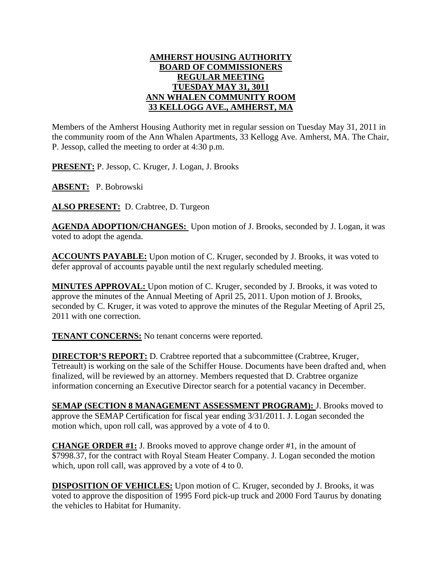## **AMHERST HOUSING AUTHORITY BOARD OF COMMISSIONERS REGULAR MEETING TUESDAY MAY 31, 3011 ANN WHALEN COMMUNITY ROOM 33 KELLOGG AVE., AMHERST, MA**

Members of the Amherst Housing Authority met in regular session on Tuesday May 31, 2011 in the community room of the Ann Whalen Apartments, 33 Kellogg Ave. Amherst, MA. The Chair, P. Jessop, called the meeting to order at 4:30 p.m.

**PRESENT:** P. Jessop, C. Kruger, J. Logan, J. Brooks

**ABSENT:** P. Bobrowski

**ALSO PRESENT:** D. Crabtree, D. Turgeon

**AGENDA ADOPTION/CHANGES:** Upon motion of J. Brooks, seconded by J. Logan, it was voted to adopt the agenda.

**ACCOUNTS PAYABLE:** Upon motion of C. Kruger, seconded by J. Brooks, it was voted to defer approval of accounts payable until the next regularly scheduled meeting.

**MINUTES APPROVAL:** Upon motion of C. Kruger, seconded by J. Brooks, it was voted to approve the minutes of the Annual Meeting of April 25, 2011. Upon motion of J. Brooks, seconded by C. Kruger, it was voted to approve the minutes of the Regular Meeting of April 25, 2011 with one correction.

**TENANT CONCERNS:** No tenant concerns were reported.

**DIRECTOR'S REPORT:** D. Crabtree reported that a subcommittee (Crabtree, Kruger, Tetreault) is working on the sale of the Schiffer House. Documents have been drafted and, when finalized, will be reviewed by an attorney. Members requested that D. Crabtree organize information concerning an Executive Director search for a potential vacancy in December.

**SEMAP (SECTION 8 MANAGEMENT ASSESSMENT PROGRAM):** J. Brooks moved to approve the SEMAP Certification for fiscal year ending 3/31/2011. J. Logan seconded the motion which, upon roll call, was approved by a vote of 4 to 0.

**CHANGE ORDER #1:** J. Brooks moved to approve change order #1, in the amount of \$7998.37, for the contract with Royal Steam Heater Company. J. Logan seconded the motion which, upon roll call, was approved by a vote of 4 to 0.

**DISPOSITION OF VEHICLES:** Upon motion of C. Kruger, seconded by J. Brooks, it was voted to approve the disposition of 1995 Ford pick-up truck and 2000 Ford Taurus by donating the vehicles to Habitat for Humanity.